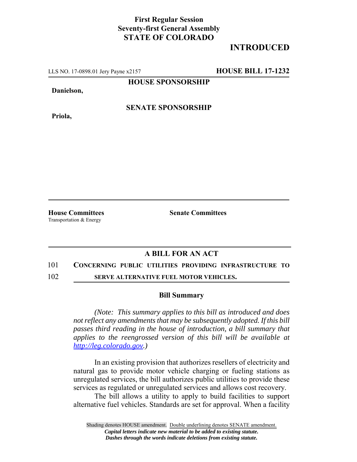## **First Regular Session Seventy-first General Assembly STATE OF COLORADO**

# **INTRODUCED**

LLS NO. 17-0898.01 Jery Payne x2157 **HOUSE BILL 17-1232**

**HOUSE SPONSORSHIP**

**Danielson,**

**Priola,**

**SENATE SPONSORSHIP**

Transportation & Energy

**House Committees Senate Committees** 

## **A BILL FOR AN ACT**

### 101 **CONCERNING PUBLIC UTILITIES PROVIDING INFRASTRUCTURE TO**

102 **SERVE ALTERNATIVE FUEL MOTOR VEHICLES.**

#### **Bill Summary**

*(Note: This summary applies to this bill as introduced and does not reflect any amendments that may be subsequently adopted. If this bill passes third reading in the house of introduction, a bill summary that applies to the reengrossed version of this bill will be available at http://leg.colorado.gov.)*

In an existing provision that authorizes resellers of electricity and natural gas to provide motor vehicle charging or fueling stations as unregulated services, the bill authorizes public utilities to provide these services as regulated or unregulated services and allows cost recovery.

The bill allows a utility to apply to build facilities to support alternative fuel vehicles. Standards are set for approval. When a facility

Shading denotes HOUSE amendment. Double underlining denotes SENATE amendment. *Capital letters indicate new material to be added to existing statute. Dashes through the words indicate deletions from existing statute.*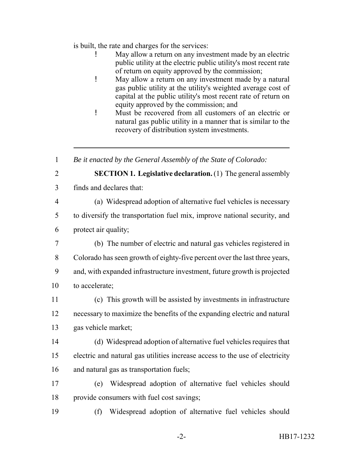is built, the rate and charges for the services:

- May allow a return on any investment made by an electric public utility at the electric public utility's most recent rate of return on equity approved by the commission;
- ! May allow a return on any investment made by a natural gas public utility at the utility's weighted average cost of capital at the public utility's most recent rate of return on equity approved by the commission; and
- ! Must be recovered from all customers of an electric or natural gas public utility in a manner that is similar to the recovery of distribution system investments.

*Be it enacted by the General Assembly of the State of Colorado:*

- 
- **SECTION 1. Legislative declaration.** (1) The general assembly
- finds and declares that:
- 

(a) Widespread adoption of alternative fuel vehicles is necessary

 to diversify the transportation fuel mix, improve national security, and protect air quality;

- (b) The number of electric and natural gas vehicles registered in Colorado has seen growth of eighty-five percent over the last three years, and, with expanded infrastructure investment, future growth is projected to accelerate;
- (c) This growth will be assisted by investments in infrastructure necessary to maximize the benefits of the expanding electric and natural gas vehicle market;
- (d) Widespread adoption of alternative fuel vehicles requires that electric and natural gas utilities increase access to the use of electricity and natural gas as transportation fuels;
- (e) Widespread adoption of alternative fuel vehicles should provide consumers with fuel cost savings;
- (f) Widespread adoption of alternative fuel vehicles should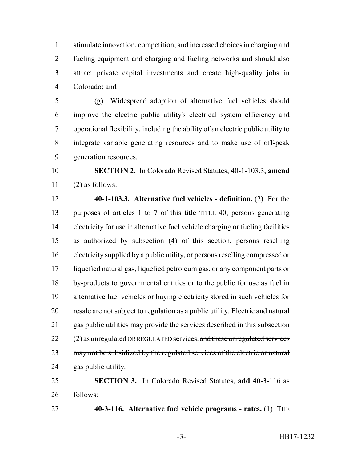stimulate innovation, competition, and increased choices in charging and fueling equipment and charging and fueling networks and should also attract private capital investments and create high-quality jobs in Colorado; and

 (g) Widespread adoption of alternative fuel vehicles should improve the electric public utility's electrical system efficiency and operational flexibility, including the ability of an electric public utility to integrate variable generating resources and to make use of off-peak generation resources.

 **SECTION 2.** In Colorado Revised Statutes, 40-1-103.3, **amend** (2) as follows:

 **40-1-103.3. Alternative fuel vehicles - definition.** (2) For the 13 purposes of articles 1 to 7 of this title TITLE 40, persons generating electricity for use in alternative fuel vehicle charging or fueling facilities as authorized by subsection (4) of this section, persons reselling electricity supplied by a public utility, or persons reselling compressed or liquefied natural gas, liquefied petroleum gas, or any component parts or by-products to governmental entities or to the public for use as fuel in alternative fuel vehicles or buying electricity stored in such vehicles for resale are not subject to regulation as a public utility. Electric and natural gas public utilities may provide the services described in this subsection (2) as unregulated OR REGULATED services. and these unregulated services 23 may not be subsidized by the regulated services of the electric or natural 24 gas public utility.

 **SECTION 3.** In Colorado Revised Statutes, **add** 40-3-116 as follows:

**40-3-116. Alternative fuel vehicle programs - rates.** (1) THE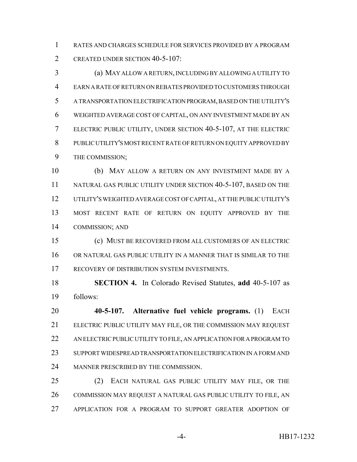RATES AND CHARGES SCHEDULE FOR SERVICES PROVIDED BY A PROGRAM CREATED UNDER SECTION 40-5-107:

 (a) MAY ALLOW A RETURN, INCLUDING BY ALLOWING A UTILITY TO EARN A RATE OF RETURN ON REBATES PROVIDED TO CUSTOMERS THROUGH A TRANSPORTATION ELECTRIFICATION PROGRAM, BASED ON THE UTILITY'S WEIGHTED AVERAGE COST OF CAPITAL, ON ANY INVESTMENT MADE BY AN ELECTRIC PUBLIC UTILITY, UNDER SECTION 40-5-107, AT THE ELECTRIC PUBLIC UTILITY'S MOST RECENT RATE OF RETURN ON EQUITY APPROVED BY THE COMMISSION;

 (b) MAY ALLOW A RETURN ON ANY INVESTMENT MADE BY A 11 NATURAL GAS PUBLIC UTILITY UNDER SECTION 40-5-107, BASED ON THE UTILITY'S WEIGHTED AVERAGE COST OF CAPITAL, AT THE PUBLIC UTILITY'S MOST RECENT RATE OF RETURN ON EQUITY APPROVED BY THE COMMISSION; AND

 (c) MUST BE RECOVERED FROM ALL CUSTOMERS OF AN ELECTRIC OR NATURAL GAS PUBLIC UTILITY IN A MANNER THAT IS SIMILAR TO THE RECOVERY OF DISTRIBUTION SYSTEM INVESTMENTS.

 **SECTION 4.** In Colorado Revised Statutes, **add** 40-5-107 as follows:

 **40-5-107. Alternative fuel vehicle programs.** (1) EACH ELECTRIC PUBLIC UTILITY MAY FILE, OR THE COMMISSION MAY REQUEST AN ELECTRIC PUBLIC UTILITY TO FILE, AN APPLICATION FOR A PROGRAM TO SUPPORT WIDESPREAD TRANSPORTATION ELECTRIFICATION IN A FORM AND MANNER PRESCRIBED BY THE COMMISSION.

 (2) EACH NATURAL GAS PUBLIC UTILITY MAY FILE, OR THE COMMISSION MAY REQUEST A NATURAL GAS PUBLIC UTILITY TO FILE, AN APPLICATION FOR A PROGRAM TO SUPPORT GREATER ADOPTION OF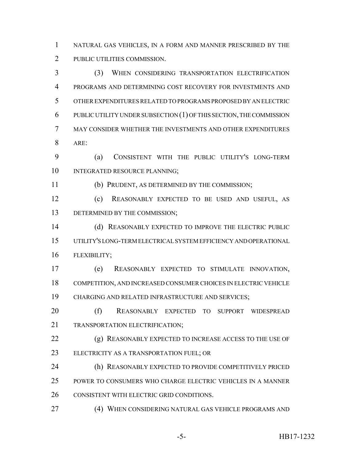NATURAL GAS VEHICLES, IN A FORM AND MANNER PRESCRIBED BY THE PUBLIC UTILITIES COMMISSION.

 (3) WHEN CONSIDERING TRANSPORTATION ELECTRIFICATION PROGRAMS AND DETERMINING COST RECOVERY FOR INVESTMENTS AND OTHER EXPENDITURES RELATED TO PROGRAMS PROPOSED BY AN ELECTRIC PUBLIC UTILITY UNDER SUBSECTION (1) OF THIS SECTION, THE COMMISSION MAY CONSIDER WHETHER THE INVESTMENTS AND OTHER EXPENDITURES ARE:

 (a) CONSISTENT WITH THE PUBLIC UTILITY'S LONG-TERM 10 INTEGRATED RESOURCE PLANNING;

(b) PRUDENT, AS DETERMINED BY THE COMMISSION;

 (c) REASONABLY EXPECTED TO BE USED AND USEFUL, AS 13 DETERMINED BY THE COMMISSION;

 (d) REASONABLY EXPECTED TO IMPROVE THE ELECTRIC PUBLIC UTILITY'S LONG-TERM ELECTRICAL SYSTEM EFFICIENCY AND OPERATIONAL FLEXIBILITY;

 (e) REASONABLY EXPECTED TO STIMULATE INNOVATION, COMPETITION, AND INCREASED CONSUMER CHOICES IN ELECTRIC VEHICLE CHARGING AND RELATED INFRASTRUCTURE AND SERVICES;

 (f) REASONABLY EXPECTED TO SUPPORT WIDESPREAD TRANSPORTATION ELECTRIFICATION;

 (g) REASONABLY EXPECTED TO INCREASE ACCESS TO THE USE OF ELECTRICITY AS A TRANSPORTATION FUEL; OR

 (h) REASONABLY EXPECTED TO PROVIDE COMPETITIVELY PRICED POWER TO CONSUMERS WHO CHARGE ELECTRIC VEHICLES IN A MANNER CONSISTENT WITH ELECTRIC GRID CONDITIONS.

(4) WHEN CONSIDERING NATURAL GAS VEHICLE PROGRAMS AND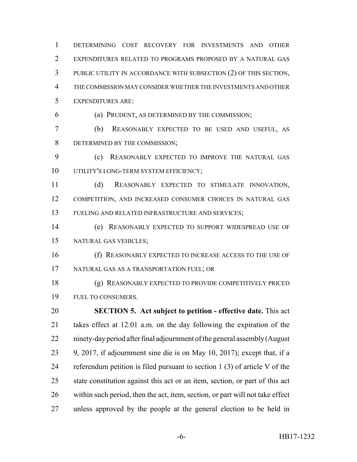DETERMINING COST RECOVERY FOR INVESTMENTS AND OTHER EXPENDITURES RELATED TO PROGRAMS PROPOSED BY A NATURAL GAS PUBLIC UTILITY IN ACCORDANCE WITH SUBSECTION (2) OF THIS SECTION, THE COMMISSION MAY CONSIDER WHETHER THE INVESTMENTS AND OTHER EXPENDITURES ARE:

(a) PRUDENT, AS DETERMINED BY THE COMMISSION;

 (b) REASONABLY EXPECTED TO BE USED AND USEFUL, AS DETERMINED BY THE COMMISSION;

 (c) REASONABLY EXPECTED TO IMPROVE THE NATURAL GAS 10 UTILITY'S LONG-TERM SYSTEM EFFICIENCY;

 (d) REASONABLY EXPECTED TO STIMULATE INNOVATION, COMPETITION, AND INCREASED CONSUMER CHOICES IN NATURAL GAS FUELING AND RELATED INFRASTRUCTURE AND SERVICES;

 (e) REASONABLY EXPECTED TO SUPPORT WIDESPREAD USE OF NATURAL GAS VEHICLES;

 (f) REASONABLY EXPECTED TO INCREASE ACCESS TO THE USE OF NATURAL GAS AS A TRANSPORTATION FUEL; OR

 (g) REASONABLY EXPECTED TO PROVIDE COMPETITIVELY PRICED FUEL TO CONSUMERS.

 **SECTION 5. Act subject to petition - effective date.** This act takes effect at 12:01 a.m. on the day following the expiration of the ninety-day period after final adjournment of the general assembly (August 9, 2017, if adjournment sine die is on May 10, 2017); except that, if a referendum petition is filed pursuant to section 1 (3) of article V of the state constitution against this act or an item, section, or part of this act within such period, then the act, item, section, or part will not take effect unless approved by the people at the general election to be held in